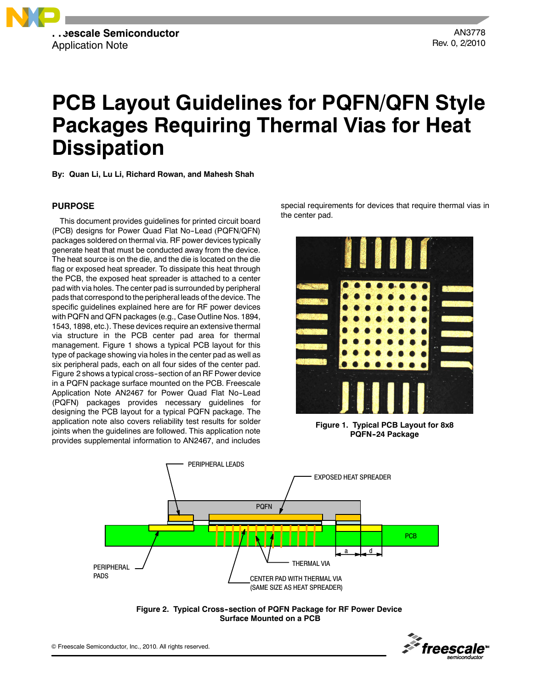

# **PCB Layout Guidelines for PQFN/QFN Style Packages Requiring Thermal Vias for Heat Dissipation**

**By: Quan Li, Lu Li, Richard Rowan, and Mahesh Shah**

## **PURPOSE**

This document provides guidelines for printed circuit board (PCB) designs for Power Quad Flat No--Lead (PQFN/QFN) packages soldered on thermal via. RF power devices typically generate heat that must be conducted away from the device. The heat source is on the die, and the die is located on the die flag or exposed heat spreader. To dissipate this heat through the PCB, the exposed heat spreader is attached to a center pad with via holes. The center pad is surrounded by peripheral pads that correspond to the peripheral leads of the device. The specific guidelines explained here are for RF power devices with PQFN and QFN packages (e.g., Case Outline Nos. 1894, 1543, 1898, etc.). These devices require an extensive thermal via structure in the PCB center pad area for thermal management. Figure 1 shows a typical PCB layout for this type of package showing via holes in the center pad as well as six peripheral pads, each on all four sides of the center pad. Figure 2 shows a typical cross--section of an RF Power device in a PQFN package surface mounted on the PCB. Freescale Application Note AN2467 for Power Quad Flat No--Lead (PQFN) packages provides necessary guidelines for designing the PCB layout for a typical PQFN package. The application note also covers reliability test results for solder joints when the guidelines are followed. This application note provides supplemental information to AN2467, and includes

special requirements for devices that require thermal vias in the center pad.



**Figure 1. Typical PCB Layout for 8x8 PQFN-24 Package** 



**Figure 2. Typical Cross--section of PQFN Package for RF Power Device Surface Mounted on a PCB**

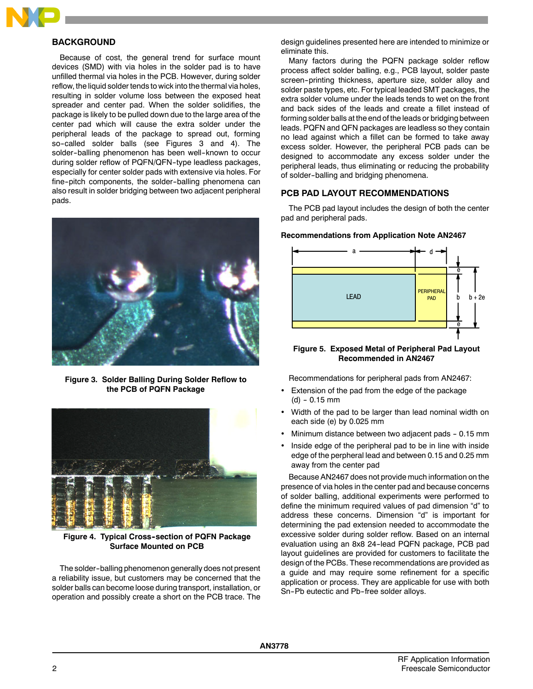

# **BACKGROUND**

Because of cost, the general trend for surface mount devices (SMD) with via holes in the solder pad is to have unfilled thermal via holes in the PCB. However, during solder reflow, the liquid solder tends to wick into the thermal via holes, resulting in solder volume loss between the exposed heat spreader and center pad. When the solder solidifies, the package is likely to be pulled down due to the large area of the center pad which will cause the extra solder under the peripheral leads of the package to spread out, forming so-called solder balls (see Figures 3 and 4). The solder-balling phenomenon has been well-known to occur during solder reflow of PQFN/QFN-type leadless packages, especially for center solder pads with extensive via holes. For fine-pitch components, the solder-balling phenomena can also result in solder bridging between two adjacent peripheral pads.



**Figure 3. Solder Balling During Solder Reflow to the PCB of PQFN Package**



**Figure 4. Typical Cross--section of PQFN Package Surface Mounted on PCB**

The solder--balling phenomenon generally does not present a reliability issue, but customers may be concerned that the solder balls can become loose during transport, installation, or operation and possibly create a short on the PCB trace. The

design guidelines presented here are intended to minimize or eliminate this.

Many factors during the PQFN package solder reflow process affect solder balling, e.g., PCB layout, solder paste screen-printing thickness, aperture size, solder alloy and solder paste types, etc. For typical leaded SMT packages, the extra solder volume under the leads tends to wet on the front and back sides of the leads and create a fillet instead of forming solder balls at the end of the leads or bridging between leads. PQFN and QFN packages are leadless so they contain no lead against which a fillet can be formed to take away excess solder. However, the peripheral PCB pads can be designed to accommodate any excess solder under the peripheral leads, thus eliminating or reducing the probability of solder--balling and bridging phenomena.

## **PCB PAD LAYOUT RECOMMENDATIONS**

The PCB pad layout includes the design of both the center pad and peripheral pads.

## **Recommendations from Application Note AN2467**



## **Figure 5. Exposed Metal of Peripheral Pad Layout Recommended in AN2467**

Recommendations for peripheral pads from AN2467:

- Extension of the pad from the edge of the package  $(d) - 0.15$  mm
- Width of the pad to be larger than lead nominal width on each side (e) by 0.025 mm
- Minimum distance between two adjacent pads 0.15 mm
- Inside edge of the peripheral pad to be in line with inside edge of the perpheral lead and between 0.15 and 0.25 mm away from the center pad

Because AN2467 does not provide much information on the presence of via holes in the center pad and because concerns of solder balling, additional experiments were performed to define the minimum required values of pad dimension "d" to address these concerns. Dimension "d" is important for determining the pad extension needed to accommodate the excessive solder during solder reflow. Based on an internal evaluation using an 8x8 24-lead PQFN package, PCB pad layout guidelines are provided for customers to facilitate the design of the PCBs. These recommendations are provided as a guide and may require some refinement for a specific application or process. They are applicable for use with both Sn-Pb eutectic and Pb-free solder alloys.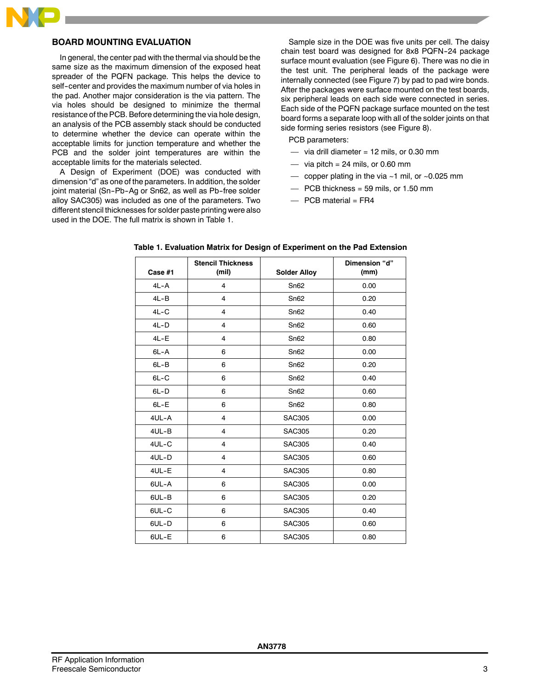# **BOARD MOUNTING EVALUATION**

In general, the center pad with the thermal via should be the same size as the maximum dimension of the exposed heat spreader of the PQFN package. This helps the device to self-center and provides the maximum number of via holes in the pad. Another major consideration is the via pattern. The via holes should be designed to minimize the thermal resistance of the PCB. Before determining the via hole design, an analysis of the PCB assembly stack should be conducted to determine whether the device can operate within the acceptable limits for junction temperature and whether the PCB and the solder joint temperatures are within the acceptable limits for the materials selected.

A Design of Experiment (DOE) was conducted with dimension "d" as one of the parameters. In addition, the solder joint material (Sn-Pb-Ag or Sn62, as well as Pb-free solder alloy SAC305) was included as one of the parameters. Two different stencil thicknesses for solder paste printing were also used in the DOE. The full matrix is shown in Table 1.

Sample size in the DOE was five units per cell. The daisy chain test board was designed for 8x8 PQFN-24 package surface mount evaluation (see Figure 6). There was no die in the test unit. The peripheral leads of the package were internally connected (see Figure 7) by pad to pad wire bonds. After the packages were surface mounted on the test boards, six peripheral leads on each side were connected in series. Each side of the PQFN package surface mounted on the test board forms a separate loop with all of the solder joints on that side forming series resistors (see Figure 8).

PCB parameters:

- $-$  via drill diameter = 12 mils, or 0.30 mm
- via pitch =  $24$  mils, or 0.60 mm
- copper plating in the via  $~1$  mil, or  $~20.025$  mm
- PCB thickness = 59 mils, or 1.50 mm
- $PCB$  material =  $FR4$

| Case #1  | <b>Stencil Thickness</b><br>(mil) | <b>Solder Alloy</b> | Dimension "d"<br>(mm) |
|----------|-----------------------------------|---------------------|-----------------------|
| $4L - A$ | $\overline{4}$                    | Sn62                | 0.00                  |
| $4L - B$ | 4                                 | Sn62                | 0.20                  |
| $4L-C$   | $\overline{4}$                    | Sn62                | 0.40                  |
| $4L-D$   | 4                                 | Sn62                | 0.60                  |
| $4L - E$ | $\overline{4}$                    | Sn62                | 0.80                  |
| $6L - A$ | 6                                 | Sn62                | 0.00                  |
| $6L - B$ | 6                                 | Sn62                | 0.20                  |
| $6L-C$   | 6                                 | Sn62                | 0.40                  |
| $6L - D$ | 6                                 | Sn62                | 0.60                  |
| 6L-E     | 6                                 | Sn62                | 0.80                  |
| 4UL-A    | 4                                 | <b>SAC305</b>       | 0.00                  |
| 4UL-B    | $\overline{4}$                    | <b>SAC305</b>       | 0.20                  |
| 4UL-C    | 4                                 | <b>SAC305</b>       | 0.40                  |
| $4UL-D$  | 4                                 | <b>SAC305</b>       | 0.60                  |
| 4UL-E    | $\overline{4}$                    | <b>SAC305</b>       | 0.80                  |
| 6UL-A    | 6                                 | <b>SAC305</b>       | 0.00                  |
| 6UL-B    | 6                                 | <b>SAC305</b>       | 0.20                  |
| 6UL-C    | 6                                 | <b>SAC305</b>       | 0.40                  |
| 6UL-D    | 6                                 | <b>SAC305</b>       | 0.60                  |
| 6UL-E    | 6                                 | <b>SAC305</b>       | 0.80                  |

#### **Table 1. Evaluation Matrix for Design of Experiment on the Pad Extension**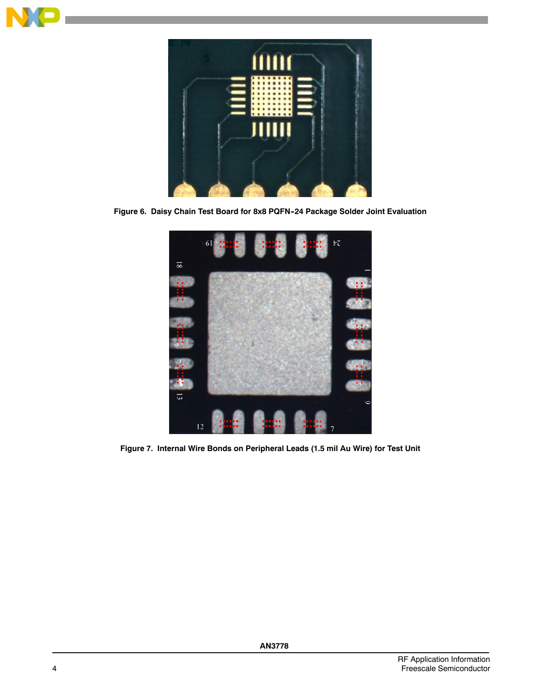



Figure 6. Daisy Chain Test Board for 8x8 PQFN-24 Package Solder Joint Evaluation



**Figure 7. Internal Wire Bonds on Peripheral Leads (1.5 mil Au Wire) for Test Unit**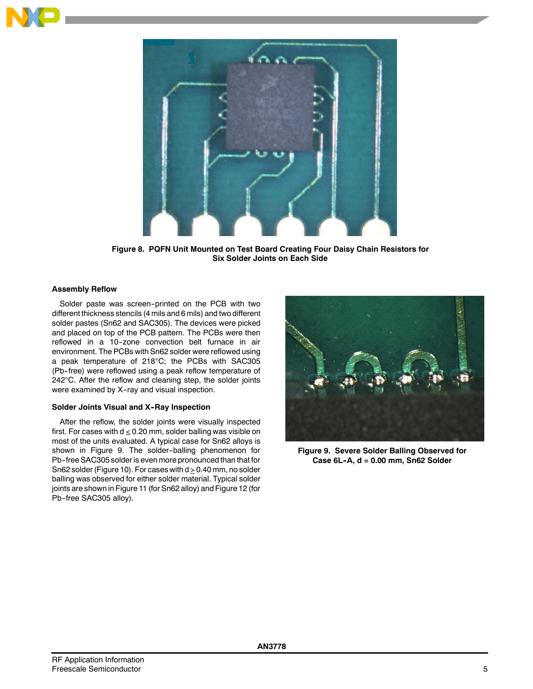



**Figure 8. PQFN Unit Mounted on Test Board Creating Four Daisy Chain Resistors for Six Solder Joints on Each Side**

#### **Assembly Reflow**

Solder paste was screen-printed on the PCB with two different thickness stencils (4 mils and 6 mils) and two different solder pastes (Sn62 and SAC305). The devices were picked and placed on top of the PCB pattern. The PCBs were then reflowed in a 10-zone convection belt furnace in air environment. The PCBs with Sn62 solder were reflowed using a peak temperature of 218°C; the PCBs with SAC305 (Pb--free) were reflowed using a peak reflow temperature of 242°C. After the reflow and cleaning step, the solder joints were examined by X--ray and visual inspection.

#### **Solder Joints Visual and X--Ray Inspection**

After the reflow, the solder joints were visually inspected first. For cases with  $d \le 0.20$  mm, solder balling was visible on most of the units evaluated. A typical case for Sn62 alloys is shown in Figure 9. The solder-balling phenomenon for Pb-free SAC305 solder is even more pronounced than that for Sn62 solder (Figure 10). For cases with  $d \ge 0.40$  mm, no solder balling was observed for either solder material. Typical solder joints are shown in Figure 11 (for Sn62 alloy) and Figure 12 (for Pb-free SAC305 alloy).



**Figure 9. Severe Solder Balling Observed for Case 6L--A, d = 0.00 mm, Sn62 Solder**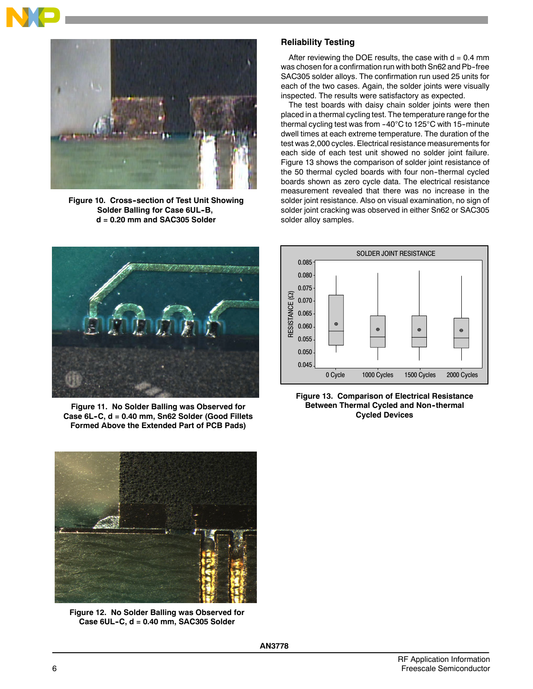

**Figure 10. Cross--section of Test Unit Showing** Solder Balling for Case 6UL-B, **d = 0.20 mm and SAC305 Solder**



**Figure 11. No Solder Balling was Observed for Case 6L--C, d = 0.40 mm, Sn62 Solder (Good Fillets Formed Above the Extended Part of PCB Pads)**



**Figure 12. No Solder Balling was Observed for Case 6UL--C, d = 0.40 mm, SAC305 Solder**

## **Reliability Testing**

After reviewing the DOE results, the case with  $d = 0.4$  mm was chosen for a confirmation run with both Sn62 and Pb--free SAC305 solder alloys. The confirmation run used 25 units for each of the two cases. Again, the solder joints were visually inspected. The results were satisfactory as expected.

The test boards with daisy chain solder joints were then placed in a thermal cycling test. The temperature range for the thermal cycling test was from  $-40^{\circ}$ C to 125 $^{\circ}$ C with 15-minute dwell times at each extreme temperature. The duration of the test was 2,000 cycles. Electrical resistance measurements for each side of each test unit showed no solder joint failure. Figure 13 shows the comparison of solder joint resistance of the 50 thermal cycled boards with four non-thermal cycled boards shown as zero cycle data. The electrical resistance measurement revealed that there was no increase in the solder joint resistance. Also on visual examination, no sign of solder joint cracking was observed in either Sn62 or SAC305 solder alloy samples.



**Figure 13. Comparison of Electrical Resistance Between Thermal Cycled and Non--thermal Cycled Devices**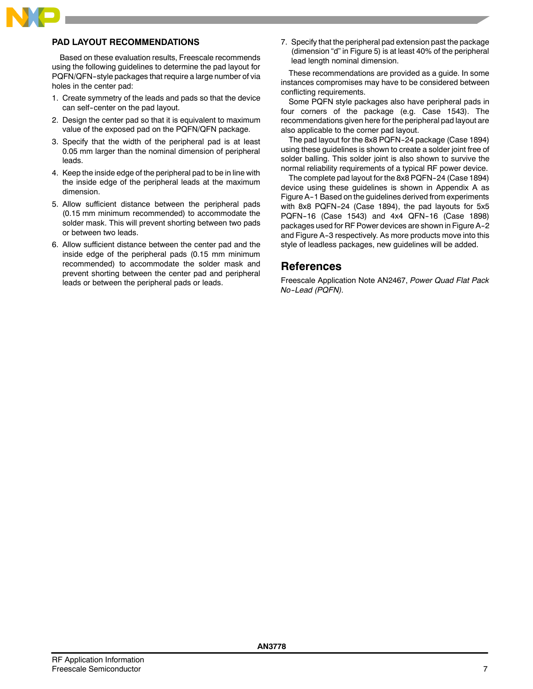

# **PAD LAYOUT RECOMMENDATIONS**

Based on these evaluation results, Freescale recommends using the following guidelines to determine the pad layout for PQFN/QFN-style packages that require a large number of via holes in the center pad:

- 1. Create symmetry of the leads and pads so that the device can self--center on the pad layout.
- 2. Design the center pad so that it is equivalent to maximum value of the exposed pad on the PQFN/QFN package.
- 3. Specify that the width of the peripheral pad is at least 0.05 mm larger than the nominal dimension of peripheral leads.
- 4. Keep the inside edge of the peripheral pad to be in line with the inside edge of the peripheral leads at the maximum dimension.
- 5. Allow sufficient distance between the peripheral pads (0.15 mm minimum recommended) to accommodate the solder mask. This will prevent shorting between two pads or between two leads.
- 6. Allow sufficient distance between the center pad and the inside edge of the peripheral pads (0.15 mm minimum recommended) to accommodate the solder mask and prevent shorting between the center pad and peripheral leads or between the peripheral pads or leads.

7. Specify that the peripheral pad extension past the package (dimension "d" in Figure 5) is at least 40% of the peripheral lead length nominal dimension.

These recommendations are provided as a guide. In some instances compromises may have to be considered between conflicting requirements.

Some PQFN style packages also have peripheral pads in four corners of the package (e.g. Case 1543). The recommendations given here for the peripheral pad layout are also applicable to the corner pad layout.

The pad layout for the 8x8 PQFN-24 package (Case 1894) using these guidelines is shown to create a solder joint free of solder balling. This solder joint is also shown to survive the normal reliability requirements of a typical RF power device.

The complete pad layout for the 8x8 PQFN-24 (Case 1894) device using these guidelines is shown in Appendix A as Figure A--1 Based on the guidelines derived from experiments with 8x8 PQFN-24 (Case 1894), the pad layouts for 5x5 PQFN-16 (Case 1543) and 4x4 QFN-16 (Case 1898) packages used for RF Power devices are shown in Figure A-2 and Figure A-3 respectively. As more products move into this style of leadless packages, new guidelines will be added.

# **References**

Freescale Application Note AN2467, Power Quad Flat Pack No-Lead (PQFN).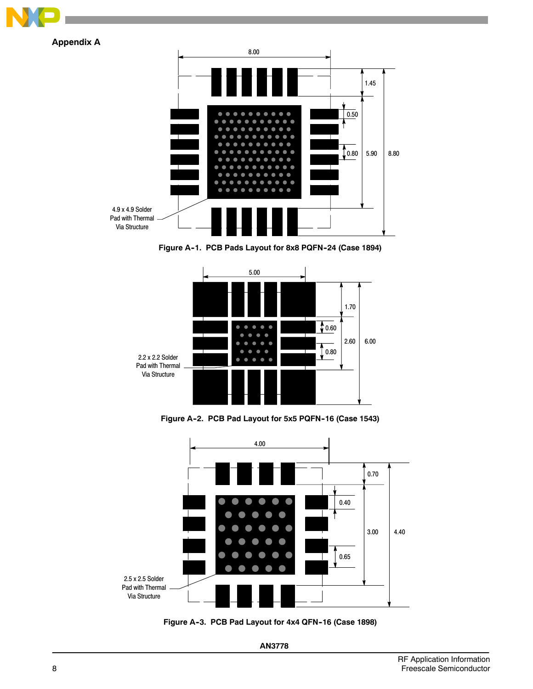

Figure A-1. PCB Pads Layout for 8x8 PQFN-24 (Case 1894)



Figure A-2. PCB Pad Layout for 5x5 PQFN-16 (Case 1543)



Figure A-3. PCB Pad Layout for 4x4 QFN-16 (Case 1898)

**AN3778**